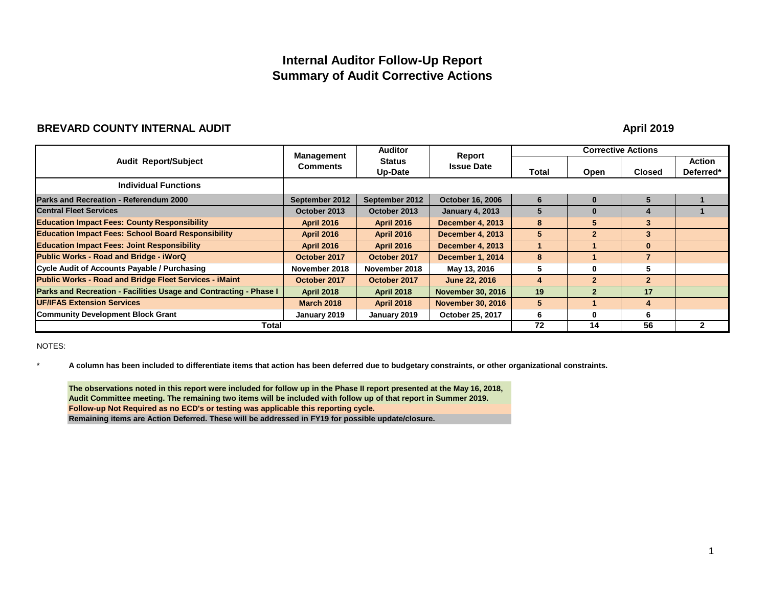## **Internal Auditor Follow-Up Report Summary of Audit Corrective Actions**

#### **BREVARD COUNTY INTERNAL AUDIT**

**April 2019**

| <b>Audit Report/Subject</b>                                       | <b>Management</b>                                  | <b>Auditor</b>    | Report                   | <b>Corrective Actions</b> |                         |                            |              |
|-------------------------------------------------------------------|----------------------------------------------------|-------------------|--------------------------|---------------------------|-------------------------|----------------------------|--------------|
|                                                                   | <b>Status</b><br><b>Comments</b><br><b>Up-Date</b> | <b>Issue Date</b> | Total                    | Open                      | <b>Closed</b>           | <b>Action</b><br>Deferred* |              |
| <b>Individual Functions</b>                                       |                                                    |                   |                          |                           |                         |                            |              |
| <b>Parks and Recreation - Referendum 2000</b>                     | September 2012                                     | September 2012    | <b>October 16, 2006</b>  | 6                         | O                       | 5                          |              |
| <b>Central Fleet Services</b>                                     | October 2013                                       | October 2013      | <b>January 4, 2013</b>   | 5                         | 0                       |                            |              |
| <b>Education Impact Fees: County Responsibility</b>               | <b>April 2016</b>                                  | <b>April 2016</b> | <b>December 4, 2013</b>  | 8                         | 5                       | 3 <sup>1</sup>             |              |
| <b>Education Impact Fees: School Board Responsibility</b>         | <b>April 2016</b>                                  | <b>April 2016</b> | <b>December 4, 2013</b>  | 5                         | $\overline{\mathbf{2}}$ | 3                          |              |
| <b>Education Impact Fees: Joint Responsibility</b>                | <b>April 2016</b>                                  | <b>April 2016</b> | <b>December 4, 2013</b>  |                           |                         | $\bf{0}$                   |              |
| <b>Public Works - Road and Bridge - iWorQ</b>                     | October 2017                                       | October 2017      | December 1, 2014         | 8                         |                         | $\overline{7}$             |              |
| Cycle Audit of Accounts Payable / Purchasing                      | November 2018                                      | November 2018     | May 13, 2016             | 5                         | $\bf{0}$                | 5                          |              |
| <b>Public Works - Road and Bridge Fleet Services - iMaint</b>     | October 2017                                       | October 2017      | <b>June 22, 2016</b>     | 4                         | $\mathbf{2}$            | $\mathbf{2}$               |              |
| Parks and Recreation - Facilities Usage and Contracting - Phase I | <b>April 2018</b>                                  | <b>April 2018</b> | <b>November 30, 2016</b> | 19                        | $\overline{2}$          | 17                         |              |
| <b>UF/IFAS Extension Services</b>                                 | <b>March 2018</b>                                  | <b>April 2018</b> | <b>November 30, 2016</b> | 5                         |                         | 4                          |              |
| <b>Community Development Block Grant</b>                          | January 2019                                       | January 2019      | October 25, 2017         | 6                         | $\bf{0}$                | 6                          |              |
| Total                                                             |                                                    |                   |                          | 72                        | 14                      | 56                         | $\mathbf{2}$ |

NOTES:

\* **A column has been included to differentiate items that action has been deferred due to budgetary constraints, or other organizational constraints.**

**Follow-up Not Required as no ECD's or testing was applicable this reporting cycle. Remaining items are Action Deferred. These will be addressed in FY19 for possible update/closure. The observations noted in this report were included for follow up in the Phase II report presented at the May 16, 2018, Audit Committee meeting. The remaining two items will be included with follow up of that report in Summer 2019.**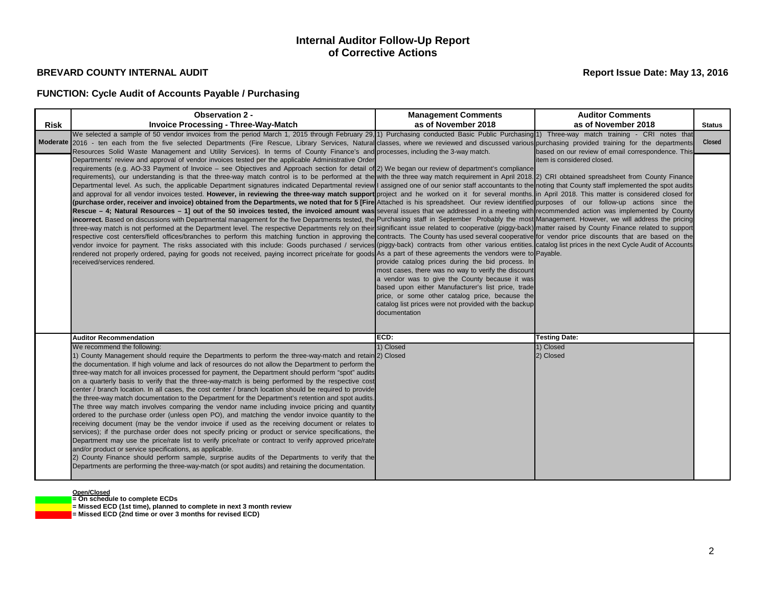## **FUNCTION: Cycle Audit of Accounts Payable / Purchasing**

#### **Open/Closed**

**= On schedule to complete ECDs**

**= Missed ECD (1st time), planned to complete in next 3 month review**

**= Missed ECD (2nd time or over 3 months for revised ECD)**

|             | <b>Observation 2 -</b>                                                                                                                                                                                                                                                                                                                                                                                                                                                                                                                                                                                                                                                                                                                                                                                                                                                                                                                                                                                                                                                                                                                                                                                                                                                                                                                                                                                                                                                                                                                                                                                                                                                                                                                                                                                                                                                                                                                                                                                                                                                                                                                                                                                                                                                                                                        | <b>Management Comments</b>                                                                                                                                                                                                                                                                                                                    | <b>Auditor Comments</b>                           |               |
|-------------|-------------------------------------------------------------------------------------------------------------------------------------------------------------------------------------------------------------------------------------------------------------------------------------------------------------------------------------------------------------------------------------------------------------------------------------------------------------------------------------------------------------------------------------------------------------------------------------------------------------------------------------------------------------------------------------------------------------------------------------------------------------------------------------------------------------------------------------------------------------------------------------------------------------------------------------------------------------------------------------------------------------------------------------------------------------------------------------------------------------------------------------------------------------------------------------------------------------------------------------------------------------------------------------------------------------------------------------------------------------------------------------------------------------------------------------------------------------------------------------------------------------------------------------------------------------------------------------------------------------------------------------------------------------------------------------------------------------------------------------------------------------------------------------------------------------------------------------------------------------------------------------------------------------------------------------------------------------------------------------------------------------------------------------------------------------------------------------------------------------------------------------------------------------------------------------------------------------------------------------------------------------------------------------------------------------------------------|-----------------------------------------------------------------------------------------------------------------------------------------------------------------------------------------------------------------------------------------------------------------------------------------------------------------------------------------------|---------------------------------------------------|---------------|
| <b>Risk</b> | <b>Invoice Processing - Three-Way-Match</b>                                                                                                                                                                                                                                                                                                                                                                                                                                                                                                                                                                                                                                                                                                                                                                                                                                                                                                                                                                                                                                                                                                                                                                                                                                                                                                                                                                                                                                                                                                                                                                                                                                                                                                                                                                                                                                                                                                                                                                                                                                                                                                                                                                                                                                                                                   | as of November 2018                                                                                                                                                                                                                                                                                                                           | as of November 2018                               | <b>Status</b> |
|             | We selected a sample of 50 vendor invoices from the period March 1, 2015 through February 29, 1) Purchasing conducted Basic Public Purchasing 1) Three-way match training - CRI notes that<br>Moderate 2016 - ten each from the five selected Departments (Fire Rescue, Library Services, Natural classes, where we reviewed and discussed various purchasing provided training for the departments<br>Resources Solid Waste Management and Utility Services). In terms of County Finance's and processes, including the 3-way match.                                                                                                                                                                                                                                                                                                                                                                                                                                                                                                                                                                                                                                                                                                                                                                                                                                                                                                                                                                                                                                                                                                                                                                                                                                                                                                                                                                                                                                                                                                                                                                                                                                                                                                                                                                                         |                                                                                                                                                                                                                                                                                                                                               | based on our review of email correspondence. This | Closed        |
|             | Departments' review and approval of vendor invoices tested per the applicable Administrative Order<br>requirements (e.g. AO-33 Payment of Invoice – see Objectives and Approach section for detail of 2) We began our review of department's compliance<br>requirements), our understanding is that the three-way match control is to be performed at the with the three way match requirement in April 2018. [2] CRI obtained spreadsheet from County Finance<br>Departmental level. As such, the applicable Department signatures indicated Departmental review I assigned one of our senior staff accountants to the noting that County staff implemented the spot audits<br>and approval for all vendor invoices tested. However, in reviewing the three-way match support project and he worked on it for several months. In April 2018. This matter is considered closed for<br>(purchase order, receiver and invoice) obtained from the Departments, we noted that for 5 [Fire Attached is his spreadsheet. Our review identified purposes of our follow-up actions since the<br>Rescue – 4; Natural Resources – 1] out of the 50 invoices tested, the invoiced amount was several issues that we addressed in a meeting with recommended action was implemented by County<br>incorrect. Based on discussions with Departmental management for the five Departments tested, the Purchasing staff in September Probably the most Management. However, we will address the pricing<br>three-way match is not performed at the Department level. The respective Departments rely on their significant issue related to cooperative (piggy-back) matter raised by County Finance related to support<br>respective cost centers/field offices/branches to perform this matching function in approving the contracts. The County has used several cooperative for vendor price discounts that are based on the<br>vendor invoice for payment. The risks associated with this include: Goods purchased / services (piggy-back) contracts from other various entities catalog list prices in the next Cycle Audit of Accounts<br>rendered not properly ordered, paying for goods not received, paying incorrect price/rate for goods As a part of these agreements the vendors were to Payable.<br>received/services rendered. | provide catalog prices during the bid process. In<br>most cases, there was no way to verify the discount<br>a vendor was to give the County because it was<br>based upon either Manufacturer's list price, trade<br>price, or some other catalog price, because the<br>catalog list prices were not provided with the backup<br>documentation | item is considered closed.                        |               |
|             | <b>Auditor Recommendation</b>                                                                                                                                                                                                                                                                                                                                                                                                                                                                                                                                                                                                                                                                                                                                                                                                                                                                                                                                                                                                                                                                                                                                                                                                                                                                                                                                                                                                                                                                                                                                                                                                                                                                                                                                                                                                                                                                                                                                                                                                                                                                                                                                                                                                                                                                                                 | ECD:                                                                                                                                                                                                                                                                                                                                          | <b>Testing Date:</b>                              |               |
|             | We recommend the following:<br>1) County Management should require the Departments to perform the three-way-match and retain 2) Closed<br>the documentation. If high volume and lack of resources do not allow the Department to perform the<br>three-way match for all invoices processed for payment, the Department should perform "spot" audits<br>on a quarterly basis to verify that the three-way-match is being performed by the respective cost<br>center / branch location. In all cases, the cost center / branch location should be required to provide<br>the three-way match documentation to the Department for the Department's retention and spot audits.<br>The three way match involves comparing the vendor name including invoice pricing and quantity<br>ordered to the purchase order (unless open PO), and matching the vendor invoice quantity to the<br>receiving document (may be the vendor invoice if used as the receiving document or relates to<br>services); if the purchase order does not specify pricing or product or service specifications, the<br>Department may use the price/rate list to verify price/rate or contract to verify approved price/rate<br>and/or product or service specifications, as applicable.<br>2) County Finance should perform sample, surprise audits of the Departments to verify that the<br>Departments are performing the three-way-match (or spot audits) and retaining the documentation.                                                                                                                                                                                                                                                                                                                                                                                                                                                                                                                                                                                                                                                                                                                                                                                                                                                             | 1) Closed                                                                                                                                                                                                                                                                                                                                     | 1) Closed<br>2) Closed                            |               |

## **Internal Auditor Follow-Up Report of Corrective Actions**

### **Report Issue Date: May 13, 2016**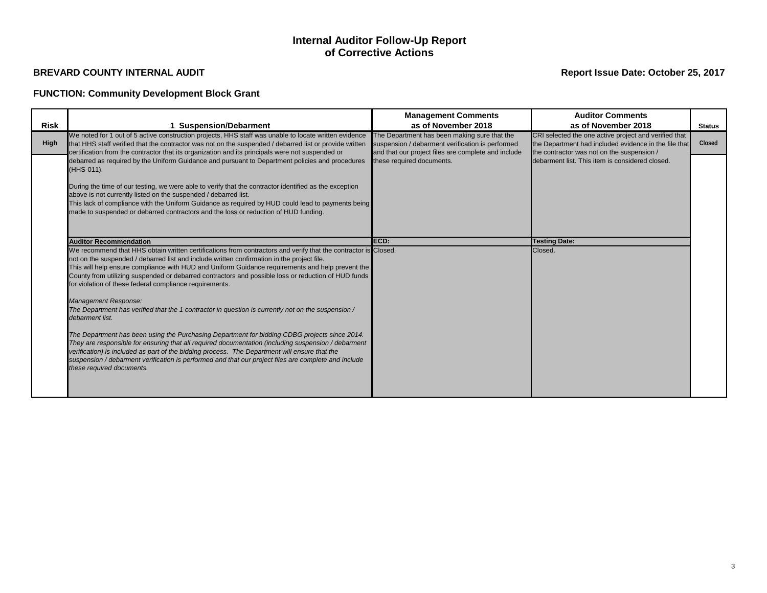## **FUNCTION: Community Development Block Grant**

## **Internal Auditor Follow-Up Report of Corrective Actions**

|             |                                                                                                                                                                                                                                                                                                                                                                                                                                                                                                                                                                                                                                                                                                                                                                                                                                                                                                                                                                                                                                                                                   | <b>Management Comments</b>                                                                                                                              | <b>Auditor Comments</b>                                                                                                                                      |               |
|-------------|-----------------------------------------------------------------------------------------------------------------------------------------------------------------------------------------------------------------------------------------------------------------------------------------------------------------------------------------------------------------------------------------------------------------------------------------------------------------------------------------------------------------------------------------------------------------------------------------------------------------------------------------------------------------------------------------------------------------------------------------------------------------------------------------------------------------------------------------------------------------------------------------------------------------------------------------------------------------------------------------------------------------------------------------------------------------------------------|---------------------------------------------------------------------------------------------------------------------------------------------------------|--------------------------------------------------------------------------------------------------------------------------------------------------------------|---------------|
| <b>Risk</b> | 1 Suspension/Debarment                                                                                                                                                                                                                                                                                                                                                                                                                                                                                                                                                                                                                                                                                                                                                                                                                                                                                                                                                                                                                                                            | as of November 2018                                                                                                                                     | as of November 2018                                                                                                                                          | <b>Status</b> |
| <b>High</b> | We noted for 1 out of 5 active construction projects, HHS staff was unable to locate written evidence<br>that HHS staff verified that the contractor was not on the suspended / debarred list or provide written<br>certification from the contractor that its organization and its principals were not suspended or                                                                                                                                                                                                                                                                                                                                                                                                                                                                                                                                                                                                                                                                                                                                                              | The Department has been making sure that the<br>suspension / debarment verification is performed<br>and that our project files are complete and include | CRI selected the one active project and verified that<br>the Department had included evidence in the file that<br>the contractor was not on the suspension / | Closed        |
|             | debarred as required by the Uniform Guidance and pursuant to Department policies and procedures<br>(HHS-011).                                                                                                                                                                                                                                                                                                                                                                                                                                                                                                                                                                                                                                                                                                                                                                                                                                                                                                                                                                     | these required documents.                                                                                                                               | debarment list. This item is considered closed.                                                                                                              |               |
|             | During the time of our testing, we were able to verify that the contractor identified as the exception<br>above is not currently listed on the suspended / debarred list.<br>This lack of compliance with the Uniform Guidance as required by HUD could lead to payments being<br>made to suspended or debarred contractors and the loss or reduction of HUD funding.                                                                                                                                                                                                                                                                                                                                                                                                                                                                                                                                                                                                                                                                                                             |                                                                                                                                                         |                                                                                                                                                              |               |
|             | <b>Auditor Recommendation</b>                                                                                                                                                                                                                                                                                                                                                                                                                                                                                                                                                                                                                                                                                                                                                                                                                                                                                                                                                                                                                                                     | ECD:                                                                                                                                                    | <b>Testing Date:</b>                                                                                                                                         |               |
|             | We recommend that HHS obtain written certifications from contractors and verify that the contractor is Closed.<br>not on the suspended / debarred list and include written confirmation in the project file.<br>This will help ensure compliance with HUD and Uniform Guidance requirements and help prevent the<br>County from utilizing suspended or debarred contractors and possible loss or reduction of HUD funds<br>for violation of these federal compliance requirements.<br>Management Response:<br>The Department has verified that the 1 contractor in question is currently not on the suspension /<br>debarment list.<br>The Department has been using the Purchasing Department for bidding CDBG projects since 2014.<br>They are responsible for ensuring that all required documentation (including suspension / debarment<br>verification) is included as part of the bidding process. The Department will ensure that the<br>suspension / debarment verification is performed and that our project files are complete and include<br>these required documents. |                                                                                                                                                         | Closed.                                                                                                                                                      |               |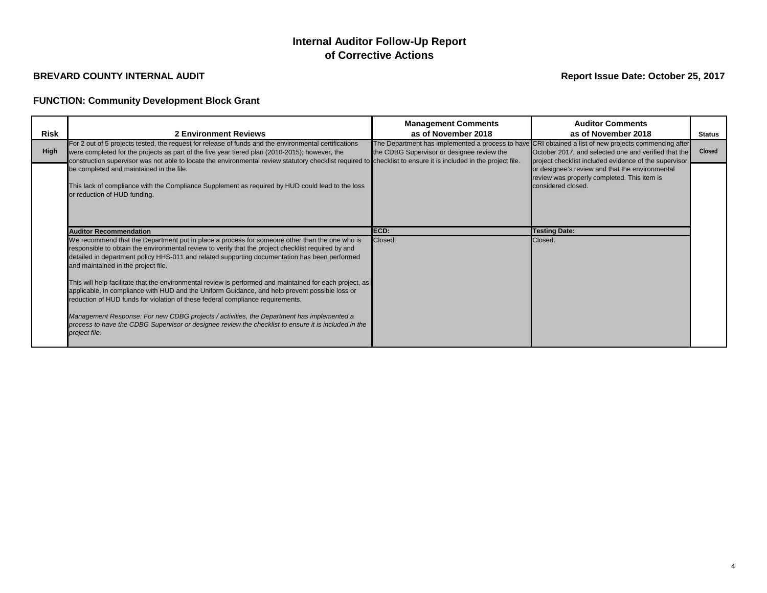## **FUNCTION: Community Development Block Grant**

## **Report Issue Date: October 25, 2017**

| Risk        | <b>2 Environment Reviews</b>                                                                                                                                                                                                                                                                                                                                                                                                                                                                                                                               | <b>Management Comments</b><br>as of November 2018 | <b>Auditor Comments</b><br>as of November 2018                                                                                                                                                                         | <b>Status</b> |
|-------------|------------------------------------------------------------------------------------------------------------------------------------------------------------------------------------------------------------------------------------------------------------------------------------------------------------------------------------------------------------------------------------------------------------------------------------------------------------------------------------------------------------------------------------------------------------|---------------------------------------------------|------------------------------------------------------------------------------------------------------------------------------------------------------------------------------------------------------------------------|---------------|
| <b>High</b> | For 2 out of 5 projects tested, the request for release of funds and the environmental certifications<br>were completed for the projects as part of the five year tiered plan (2010-2015); however, the<br>construction supervisor was not able to locate the environmental review statutory checklist required to checklist to ensure it is included in the project file.                                                                                                                                                                                 | the CDBG Supervisor or designee review the        | The Department has implemented a process to have CRI obtained a list of new projects commencing after<br>October 2017, and selected one and verified that the<br>project checklist included evidence of the supervisor | Closed        |
|             | be completed and maintained in the file.<br>This lack of compliance with the Compliance Supplement as required by HUD could lead to the loss<br>or reduction of HUD funding.                                                                                                                                                                                                                                                                                                                                                                               |                                                   | or designee's review and that the environmental<br>review was properly completed. This item is<br>considered closed.                                                                                                   |               |
|             | <b>Auditor Recommendation</b>                                                                                                                                                                                                                                                                                                                                                                                                                                                                                                                              | ECD:                                              | <b>Testing Date:</b>                                                                                                                                                                                                   |               |
|             | We recommend that the Department put in place a process for someone other than the one who is<br>responsible to obtain the environmental review to verify that the project checklist required by and<br>detailed in department policy HHS-011 and related supporting documentation has been performed<br>and maintained in the project file.<br>This will help facilitate that the environmental review is performed and maintained for each project, as<br>applicable, in compliance with HUD and the Uniform Guidance, and help prevent possible loss or | Closed.                                           | Closed.                                                                                                                                                                                                                |               |
|             | reduction of HUD funds for violation of these federal compliance requirements.<br>Management Response: For new CDBG projects / activities, the Department has implemented a<br>process to have the CDBG Supervisor or designee review the checklist to ensure it is included in the<br>project file.                                                                                                                                                                                                                                                       |                                                   |                                                                                                                                                                                                                        |               |

# **Internal Auditor Follow-Up Report of Corrective Actions**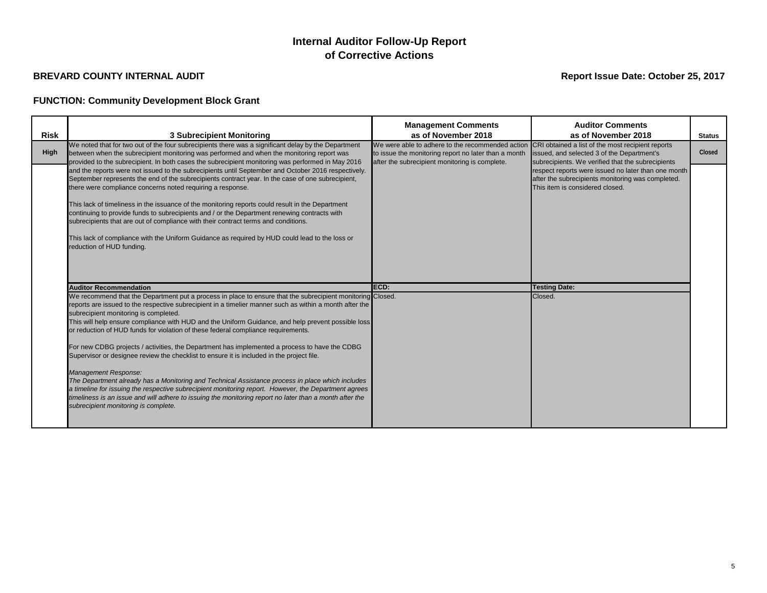## **FUNCTION: Community Development Block Grant**

# **Internal Auditor Follow-Up Report of Corrective Actions**

| <b>Risk</b> | <b>3 Subrecipient Monitoring</b>                                                                                                                                                                                                                                                                                                                                                                                                                                                                                                                                                                                                                                                                                                                                                                                                                                                                                                                                                                                                               | <b>Management Comments</b><br>as of November 2018                                                        | <b>Auditor Comments</b><br>as of November 2018                                                                                                                                                   | <b>Status</b> |
|-------------|------------------------------------------------------------------------------------------------------------------------------------------------------------------------------------------------------------------------------------------------------------------------------------------------------------------------------------------------------------------------------------------------------------------------------------------------------------------------------------------------------------------------------------------------------------------------------------------------------------------------------------------------------------------------------------------------------------------------------------------------------------------------------------------------------------------------------------------------------------------------------------------------------------------------------------------------------------------------------------------------------------------------------------------------|----------------------------------------------------------------------------------------------------------|--------------------------------------------------------------------------------------------------------------------------------------------------------------------------------------------------|---------------|
| <b>High</b> | We noted that for two out of the four subrecipients there was a significant delay by the Department<br>between when the subrecipient monitoring was performed and when the monitoring report was                                                                                                                                                                                                                                                                                                                                                                                                                                                                                                                                                                                                                                                                                                                                                                                                                                               | We were able to adhere to the recommended action<br>to issue the monitoring report no later than a month | CRI obtained a list of the most recipient reports<br>issued, and selected 3 of the Department's                                                                                                  | Closed        |
|             | provided to the subrecipient. In both cases the subrecipient monitoring was performed in May 2016<br>and the reports were not issued to the subrecipients until September and October 2016 respectively.<br>September represents the end of the subrecipients contract year. In the case of one subrecipient,<br>there were compliance concerns noted requiring a response.<br>This lack of timeliness in the issuance of the monitoring reports could result in the Department<br>continuing to provide funds to subrecipients and / or the Department renewing contracts with<br>subrecipients that are out of compliance with their contract terms and conditions.<br>This lack of compliance with the Uniform Guidance as required by HUD could lead to the loss or<br>reduction of HUD funding.                                                                                                                                                                                                                                           | after the subrecipient monitoring is complete.                                                           | subrecipients. We verified that the subrecipients<br>respect reports were issued no later than one month<br>after the subrecipients monitoring was completed.<br>This item is considered closed. |               |
|             | <b>Auditor Recommendation</b>                                                                                                                                                                                                                                                                                                                                                                                                                                                                                                                                                                                                                                                                                                                                                                                                                                                                                                                                                                                                                  | ECD:                                                                                                     | <b>Testing Date:</b>                                                                                                                                                                             |               |
|             | We recommend that the Department put a process in place to ensure that the subrecipient monitoring Closed.<br>reports are issued to the respective subrecipient in a timelier manner such as within a month after the<br>subrecipient monitoring is completed.<br>This will help ensure compliance with HUD and the Uniform Guidance, and help prevent possible loss<br>or reduction of HUD funds for violation of these federal compliance requirements.<br>For new CDBG projects / activities, the Department has implemented a process to have the CDBG<br>Supervisor or designee review the checklist to ensure it is included in the project file.<br>Management Response:<br>The Department already has a Monitoring and Technical Assistance process in place which includes<br>a timeline for issuing the respective subrecipient monitoring report. However, the Department agrees<br>timeliness is an issue and will adhere to issuing the monitoring report no later than a month after the<br>subrecipient monitoring is complete. |                                                                                                          | Closed.                                                                                                                                                                                          |               |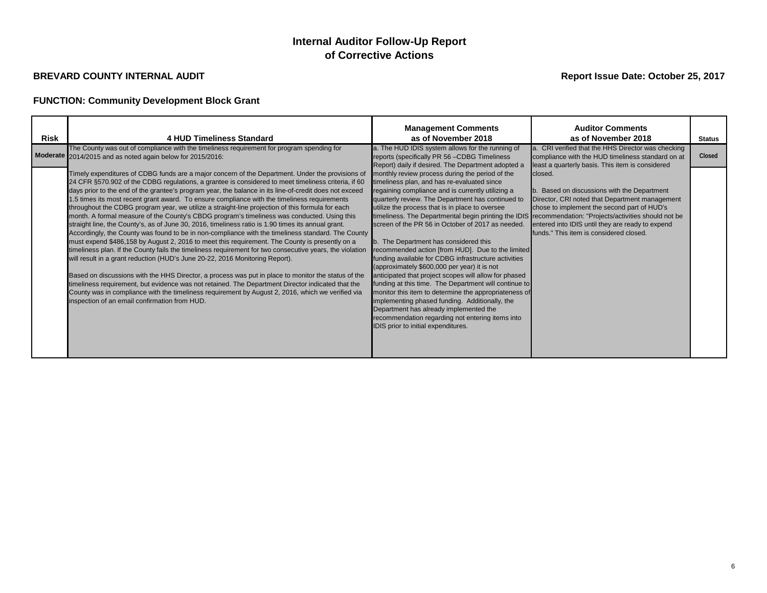## **FUNCTION: Community Development Block Grant**

# **Internal Auditor Follow-Up Report of Corrective Actions**

| <b>Risk</b> | <b>4 HUD Timeliness Standard</b>                                                                                                                                                                                                                                                                                                                                                                                                                                                                                                                                                                                                                                                                                                                                                                                                                                                                                                                                                                                                                                                                                                                                                                                                                                                                                                                                                                                                                                                                 | <b>Management Comments</b><br>as of November 2018                                                                                                                                                                                                                                                                                                                                                                                                                                                                                                                                                                                                                                                                                                                                                                                                                                                                                                                                                     | <b>Auditor Comments</b><br>as of November 2018                                                                                                                                                                                                         | <b>Status</b> |
|-------------|--------------------------------------------------------------------------------------------------------------------------------------------------------------------------------------------------------------------------------------------------------------------------------------------------------------------------------------------------------------------------------------------------------------------------------------------------------------------------------------------------------------------------------------------------------------------------------------------------------------------------------------------------------------------------------------------------------------------------------------------------------------------------------------------------------------------------------------------------------------------------------------------------------------------------------------------------------------------------------------------------------------------------------------------------------------------------------------------------------------------------------------------------------------------------------------------------------------------------------------------------------------------------------------------------------------------------------------------------------------------------------------------------------------------------------------------------------------------------------------------------|-------------------------------------------------------------------------------------------------------------------------------------------------------------------------------------------------------------------------------------------------------------------------------------------------------------------------------------------------------------------------------------------------------------------------------------------------------------------------------------------------------------------------------------------------------------------------------------------------------------------------------------------------------------------------------------------------------------------------------------------------------------------------------------------------------------------------------------------------------------------------------------------------------------------------------------------------------------------------------------------------------|--------------------------------------------------------------------------------------------------------------------------------------------------------------------------------------------------------------------------------------------------------|---------------|
|             | The County was out of compliance with the timeliness requirement for program spending for<br>Moderate 2014/2015 and as noted again below for 2015/2016:                                                                                                                                                                                                                                                                                                                                                                                                                                                                                                                                                                                                                                                                                                                                                                                                                                                                                                                                                                                                                                                                                                                                                                                                                                                                                                                                          | a. The HUD IDIS system allows for the running of<br>reports (specifically PR 56 - CDBG Timeliness<br>Report) daily if desired. The Department adopted a                                                                                                                                                                                                                                                                                                                                                                                                                                                                                                                                                                                                                                                                                                                                                                                                                                               | a. CRI verified that the HHS Director was checking<br>compliance with the HUD timeliness standard on at<br>least a quarterly basis. This item is considered                                                                                            | Closed        |
|             | Timely expenditures of CDBG funds are a major concern of the Department. Under the provisions of<br>24 CFR §570.902 of the CDBG regulations, a grantee is considered to meet timeliness criteria, if 60<br>days prior to the end of the grantee's program year, the balance in its line-of-credit does not exceed<br>1.5 times its most recent grant award. To ensure compliance with the timeliness requirements<br>throughout the CDBG program year, we utilize a straight-line projection of this formula for each<br>month. A formal measure of the County's CBDG program's timeliness was conducted. Using this<br>straight line, the County's, as of June 30, 2016, timeliness ratio is 1.90 times its annual grant.<br>Accordingly, the County was found to be in non-compliance with the timeliness standard. The County<br>must expend \$486,158 by August 2, 2016 to meet this requirement. The County is presently on a<br>timeliness plan. If the County fails the timeliness requirement for two consecutive years, the violation<br>will result in a grant reduction (HUD's June 20-22, 2016 Monitoring Report).<br>Based on discussions with the HHS Director, a process was put in place to monitor the status of the<br>timeliness requirement, but evidence was not retained. The Department Director indicated that the<br>County was in compliance with the timeliness requirement by August 2, 2016, which we verified via<br>inspection of an email confirmation from HUD. | monthly review process during the period of the<br>timeliness plan, and has re-evaluated since<br>regaining compliance and is currently utilizing a<br>quarterly review. The Department has continued to<br>utilize the process that is in place to oversee<br>timeliness. The Departmental begin printing the IDIS recommendation: "Projects/activities should not be<br>screen of the PR 56 in October of 2017 as needed.<br>b. The Department has considered this<br>recommended action [from HUD]. Due to the limited  <br>funding available for CDBG infrastructure activities<br>(approximately \$600,000 per year) it is not<br>anticipated that project scopes will allow for phased<br>funding at this time. The Department will continue to<br>monitor this item to determine the appropriateness of<br>implementing phased funding. Additionally, the<br>Department has already implemented the<br>recommendation regarding not entering items into<br>IDIS prior to initial expenditures. | closed.<br>b. Based on discussions with the Department<br>Director, CRI noted that Department management<br>chose to implement the second part of HUD's<br>entered into IDIS until they are ready to expend<br>funds." This item is considered closed. |               |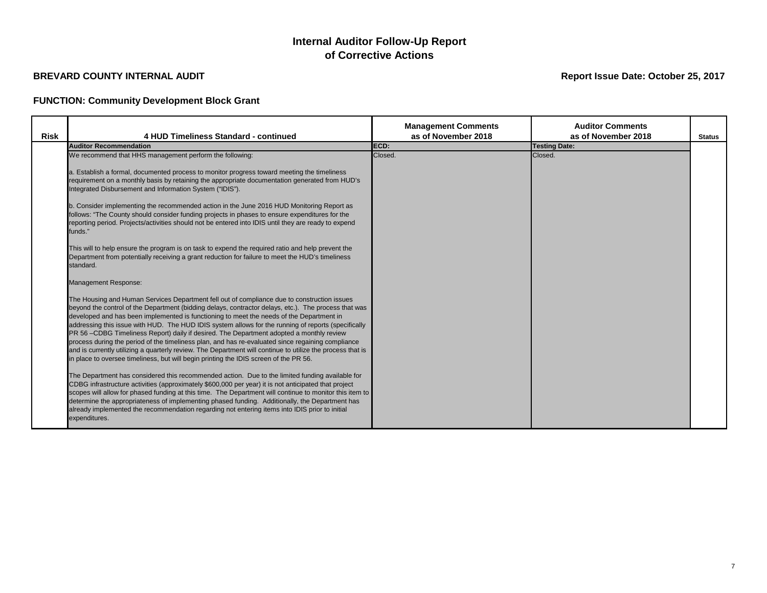## **FUNCTION: Community Development Block Grant**

|             |                                                                                                                                                                                                                                                                                                                                                                                                                                                                                                                                                                                                                                                                                                                                                                                                                | <b>Management Comments</b> | <b>Auditor Comments</b> |               |
|-------------|----------------------------------------------------------------------------------------------------------------------------------------------------------------------------------------------------------------------------------------------------------------------------------------------------------------------------------------------------------------------------------------------------------------------------------------------------------------------------------------------------------------------------------------------------------------------------------------------------------------------------------------------------------------------------------------------------------------------------------------------------------------------------------------------------------------|----------------------------|-------------------------|---------------|
| <b>Risk</b> | 4 HUD Timeliness Standard - continued                                                                                                                                                                                                                                                                                                                                                                                                                                                                                                                                                                                                                                                                                                                                                                          | as of November 2018        | as of November 2018     | <b>Status</b> |
|             | <b>Auditor Recommendation</b>                                                                                                                                                                                                                                                                                                                                                                                                                                                                                                                                                                                                                                                                                                                                                                                  | ECD:                       | <b>Testing Date:</b>    |               |
|             | We recommend that HHS management perform the following:                                                                                                                                                                                                                                                                                                                                                                                                                                                                                                                                                                                                                                                                                                                                                        | Closed.                    | Closed.                 |               |
|             | a. Establish a formal, documented process to monitor progress toward meeting the timeliness<br>requirement on a monthly basis by retaining the appropriate documentation generated from HUD's<br>Integrated Disbursement and Information System ("IDIS").                                                                                                                                                                                                                                                                                                                                                                                                                                                                                                                                                      |                            |                         |               |
|             | b. Consider implementing the recommended action in the June 2016 HUD Monitoring Report as<br>follows: "The County should consider funding projects in phases to ensure expenditures for the<br>reporting period. Projects/activities should not be entered into IDIS until they are ready to expend<br>funds."                                                                                                                                                                                                                                                                                                                                                                                                                                                                                                 |                            |                         |               |
|             | This will to help ensure the program is on task to expend the required ratio and help prevent the<br>Department from potentially receiving a grant reduction for failure to meet the HUD's timeliness<br>standard.                                                                                                                                                                                                                                                                                                                                                                                                                                                                                                                                                                                             |                            |                         |               |
|             | Management Response:                                                                                                                                                                                                                                                                                                                                                                                                                                                                                                                                                                                                                                                                                                                                                                                           |                            |                         |               |
|             | The Housing and Human Services Department fell out of compliance due to construction issues<br>beyond the control of the Department (bidding delays, contractor delays, etc.). The process that was<br>developed and has been implemented is functioning to meet the needs of the Department in<br>addressing this issue with HUD. The HUD IDIS system allows for the running of reports (specifically<br>PR 56 -CDBG Timeliness Report) daily if desired. The Department adopted a monthly review<br>process during the period of the timeliness plan, and has re-evaluated since regaining compliance<br>and is currently utilizing a quarterly review. The Department will continue to utilize the process that is<br>in place to oversee timeliness, but will begin printing the IDIS screen of the PR 56. |                            |                         |               |
|             | The Department has considered this recommended action. Due to the limited funding available for<br>CDBG infrastructure activities (approximately \$600,000 per year) it is not anticipated that project<br>scopes will allow for phased funding at this time. The Department will continue to monitor this item to<br>determine the appropriateness of implementing phased funding. Additionally, the Department has<br>already implemented the recommendation regarding not entering items into IDIS prior to initial<br>expenditures.                                                                                                                                                                                                                                                                        |                            |                         |               |

# **Internal Auditor Follow-Up Report of Corrective Actions**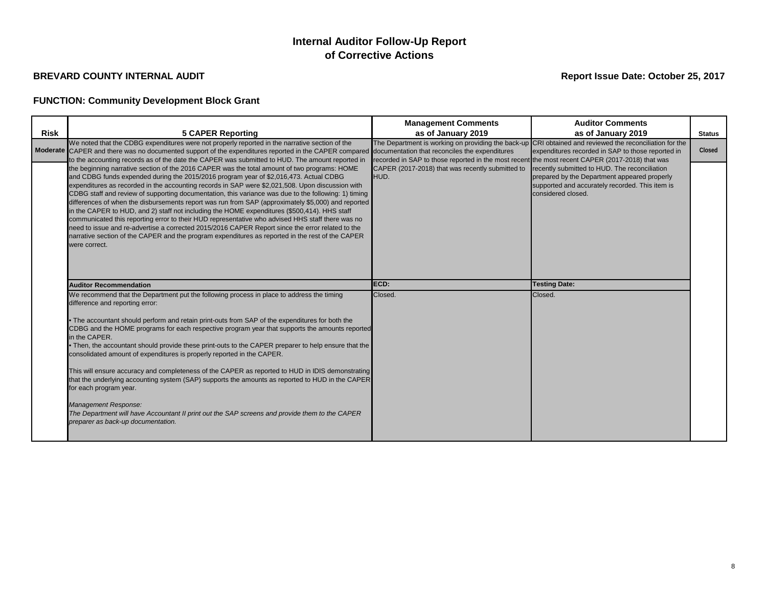## **FUNCTION: Community Development Block Grant**

# **Internal Auditor Follow-Up Report of Corrective Actions**

| <b>Risk</b> | <b>5 CAPER Reporting</b>                                                                                                                                                                                                                                                                                                                                                                                                                                                                                                                                                                                                                                                                                                                                                                                                                                                                                                                                                                                                                | <b>Management Comments</b><br>as of January 2019                                                                                                            | <b>Auditor Comments</b><br>as of January 2019                                                                                                                          | <b>Status</b> |
|-------------|-----------------------------------------------------------------------------------------------------------------------------------------------------------------------------------------------------------------------------------------------------------------------------------------------------------------------------------------------------------------------------------------------------------------------------------------------------------------------------------------------------------------------------------------------------------------------------------------------------------------------------------------------------------------------------------------------------------------------------------------------------------------------------------------------------------------------------------------------------------------------------------------------------------------------------------------------------------------------------------------------------------------------------------------|-------------------------------------------------------------------------------------------------------------------------------------------------------------|------------------------------------------------------------------------------------------------------------------------------------------------------------------------|---------------|
|             | We noted that the CDBG expenditures were not properly reported in the narrative section of the                                                                                                                                                                                                                                                                                                                                                                                                                                                                                                                                                                                                                                                                                                                                                                                                                                                                                                                                          |                                                                                                                                                             | The Department is working on providing the back-up CRI obtained and reviewed the reconciliation for the                                                                |               |
|             | Moderate CAPER and there was no documented support of the expenditures reported in the CAPER compared                                                                                                                                                                                                                                                                                                                                                                                                                                                                                                                                                                                                                                                                                                                                                                                                                                                                                                                                   | documentation that reconciles the expenditures                                                                                                              | expenditures recorded in SAP to those reported in                                                                                                                      | Closed        |
|             | to the accounting records as of the date the CAPER was submitted to HUD. The amount reported in<br>the beginning narrative section of the 2016 CAPER was the total amount of two programs: HOME<br>and CDBG funds expended during the 2015/2016 program year of \$2,016,473. Actual CDBG<br>expenditures as recorded in the accounting records in SAP were \$2,021,508. Upon discussion with<br>CDBG staff and review of supporting documentation, this variance was due to the following: 1) timing<br>differences of when the disbursements report was run from SAP (approximately \$5,000) and reported<br>in the CAPER to HUD, and 2) staff not including the HOME expenditures (\$500,414). HHS staff<br>communicated this reporting error to their HUD representative who advised HHS staff there was no<br>need to issue and re-advertise a corrected 2015/2016 CAPER Report since the error related to the<br>narrative section of the CAPER and the program expenditures as reported in the rest of the CAPER<br>were correct. | recorded in SAP to those reported in the most recent the most recent CAPER (2017-2018) that was<br>CAPER (2017-2018) that was recently submitted to<br>HUD. | recently submitted to HUD. The reconciliation<br>prepared by the Department appeared properly<br>supported and accurately recorded. This item is<br>considered closed. |               |
|             | <b>Auditor Recommendation</b>                                                                                                                                                                                                                                                                                                                                                                                                                                                                                                                                                                                                                                                                                                                                                                                                                                                                                                                                                                                                           | ECD:                                                                                                                                                        | <b>Testing Date:</b>                                                                                                                                                   |               |
|             | We recommend that the Department put the following process in place to address the timing<br>difference and reporting error:<br>• The accountant should perform and retain print-outs from SAP of the expenditures for both the<br>CDBG and the HOME programs for each respective program year that supports the amounts reported<br>in the CAPER.<br>• Then, the accountant should provide these print-outs to the CAPER preparer to help ensure that the<br>consolidated amount of expenditures is properly reported in the CAPER.<br>This will ensure accuracy and completeness of the CAPER as reported to HUD in IDIS demonstrating<br>that the underlying accounting system (SAP) supports the amounts as reported to HUD in the CAPER<br>for each program year.<br>Management Response:<br>The Department will have Accountant II print out the SAP screens and provide them to the CAPER<br>preparer as back-up documentation.                                                                                                  | Closed.                                                                                                                                                     | Closed.                                                                                                                                                                |               |